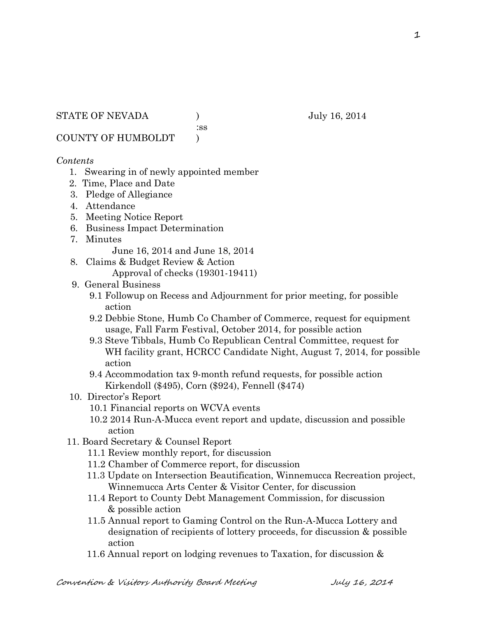STATE OF NEVADA ) July 16, 2014

:ss

COUNTY OF HUMBOLDT )

## *Contents*

- 1. Swearing in of newly appointed member
- 2. Time, Place and Date
- 3. Pledge of Allegiance
- 4. Attendance
- 5. Meeting Notice Report
- 6. Business Impact Determination
- 7. Minutes

June 16, 2014 and June 18, 2014

- 8. Claims & Budget Review & Action
	- Approval of checks (19301-19411)
- 9. General Business
	- 9.1 Followup on Recess and Adjournment for prior meeting, for possible action
	- 9.2 Debbie Stone, Humb Co Chamber of Commerce, request for equipment usage, Fall Farm Festival, October 2014, for possible action
	- 9.3 Steve Tibbals, Humb Co Republican Central Committee, request for WH facility grant, HCRCC Candidate Night, August 7, 2014, for possible action
	- 9.4 Accommodation tax 9-month refund requests, for possible action Kirkendoll (\$495), Corn (\$924), Fennell (\$474)
- 10. Director's Report
	- 10.1 Financial reports on WCVA events
	- 10.2 2014 Run-A-Mucca event report and update, discussion and possible action
- 11. Board Secretary & Counsel Report
	- 11.1 Review monthly report, for discussion
	- 11.2 Chamber of Commerce report, for discussion
	- 11.3 Update on Intersection Beautification, Winnemucca Recreation project, Winnemucca Arts Center & Visitor Center, for discussion
	- 11.4 Report to County Debt Management Commission, for discussion & possible action
	- 11.5 Annual report to Gaming Control on the Run-A-Mucca Lottery and designation of recipients of lottery proceeds, for discussion & possible action
	- 11.6 Annual report on lodging revenues to Taxation, for discussion &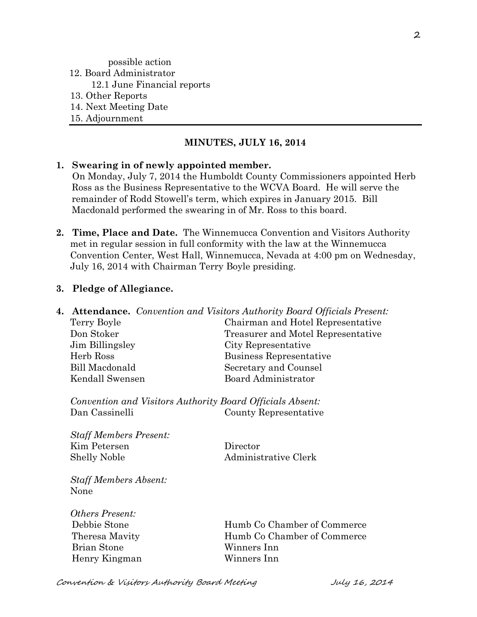## possible action 12. Board Administrator 12.1 June Financial reports 13. Other Reports 14. Next Meeting Date 15. Adjournment

## **MINUTES, JULY 16, 2014**

#### **1. Swearing in of newly appointed member.**

On Monday, July 7, 2014 the Humboldt County Commissioners appointed Herb Ross as the Business Representative to the WCVA Board. He will serve the remainder of Rodd Stowell's term, which expires in January 2015. Bill Macdonald performed the swearing in of Mr. Ross to this board.

**2. Time, Place and Date.** The Winnemucca Convention and Visitors Authority met in regular session in full conformity with the law at the Winnemucca Convention Center, West Hall, Winnemucca, Nevada at 4:00 pm on Wednesday, July 16, 2014 with Chairman Terry Boyle presiding.

#### **3. Pledge of Allegiance.**

**4. Attendance.** *Convention and Visitors Authority Board Officials Present:*

| Terry Boyle     | Chairman and Hotel Representative  |  |
|-----------------|------------------------------------|--|
| Don Stoker      | Treasurer and Motel Representative |  |
| Jim Billingsley | City Representative                |  |
| Herb Ross       | Business Representative            |  |
| Bill Macdonald  | Secretary and Counsel              |  |
| Kendall Swensen | Board Administrator                |  |
|                 |                                    |  |

*Convention and Visitors Authority Board Officials Absent:* Dan Cassinelli County Representative

*Staff Members Present:* Kim Petersen Director Shelly Noble Administrative Clerk

*Staff Members Absent:* None

*Others Present:* Brian Stone Winners Inn Henry Kingman Winners Inn

 Debbie Stone Humb Co Chamber of Commerce Theresa Mavity **Humb Co Chamber of Commerce** 

Convention & Visitors Authority Board Meeting July 16, 2014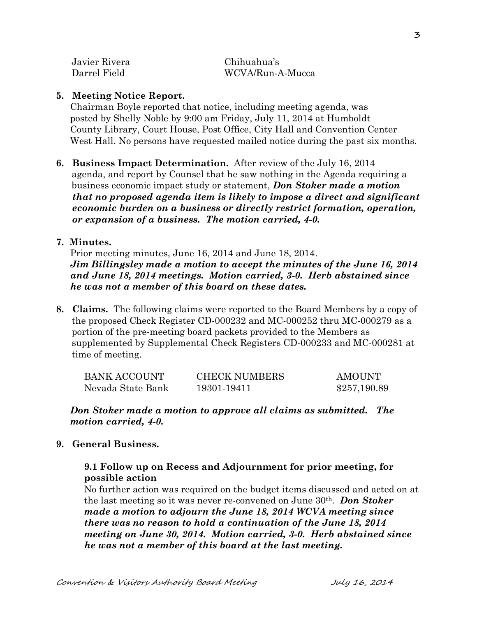| Javier Rivera | Chihuahua's      |
|---------------|------------------|
| Darrel Field  | WCVA/Run-A-Mucca |

## **5. Meeting Notice Report.**

Chairman Boyle reported that notice, including meeting agenda, was posted by Shelly Noble by 9:00 am Friday, July 11, 2014 at Humboldt County Library, Court House, Post Office, City Hall and Convention Center West Hall. No persons have requested mailed notice during the past six months.

**6. Business Impact Determination.** After review of the July 16, 2014 agenda, and report by Counsel that he saw nothing in the Agenda requiring a business economic impact study or statement, *Don Stoker made a motion that no proposed agenda item is likely to impose a direct and significant economic burden on a business or directly restrict formation, operation, or expansion of a business. The motion carried, 4-0.* 

## **7. Minutes.**

Prior meeting minutes, June 16, 2014 and June 18, 2014. *Jim Billingsley made a motion to accept the minutes of the June 16, 2014 and June 18, 2014 meetings. Motion carried, 3-0. Herb abstained since he was not a member of this board on these dates.* 

**8. Claims.** The following claims were reported to the Board Members by a copy of the proposed Check Register CD-000232 and MC-000252 thru MC-000279 as a portion of the pre-meeting board packets provided to the Members as supplemented by Supplemental Check Registers CD-000233 and MC-000281 at time of meeting.

| BANK ACCOUNT      | <b>CHECK NUMBERS</b> | <b>AMOUNT</b> |
|-------------------|----------------------|---------------|
| Nevada State Bank | 19301-19411          | \$257,190.89  |

## *Don Stoker made a motion to approve all claims as submitted. The motion carried, 4-0.*

## **9. General Business.**

## **9.1 Follow up on Recess and Adjournment for prior meeting, for possible action**

No further action was required on the budget items discussed and acted on at the last meeting so it was never re-convened on June 30th. *Don Stoker made a motion to adjourn the June 18, 2014 WCVA meeting since there was no reason to hold a continuation of the June 18, 2014 meeting on June 30, 2014. Motion carried, 3-0. Herb abstained since he was not a member of this board at the last meeting.*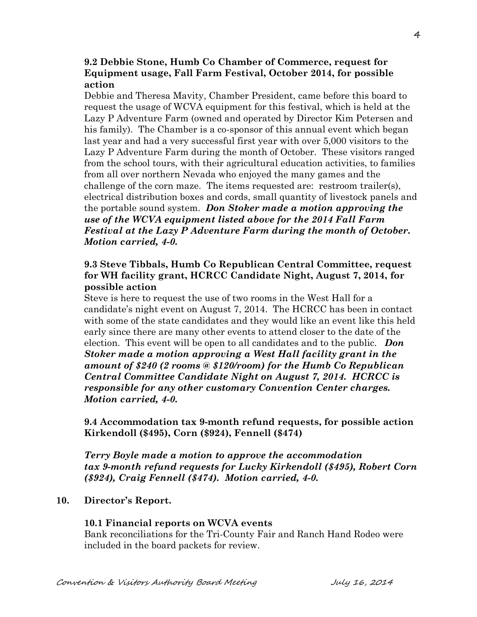## **9.2 Debbie Stone, Humb Co Chamber of Commerce, request for Equipment usage, Fall Farm Festival, October 2014, for possible action**

Debbie and Theresa Mavity, Chamber President, came before this board to request the usage of WCVA equipment for this festival, which is held at the Lazy P Adventure Farm (owned and operated by Director Kim Petersen and his family). The Chamber is a co-sponsor of this annual event which began last year and had a very successful first year with over 5,000 visitors to the Lazy P Adventure Farm during the month of October. These visitors ranged from the school tours, with their agricultural education activities, to families from all over northern Nevada who enjoyed the many games and the challenge of the corn maze. The items requested are: restroom trailer(s), electrical distribution boxes and cords, small quantity of livestock panels and the portable sound system. *Don Stoker made a motion approving the use of the WCVA equipment listed above for the 2014 Fall Farm Festival at the Lazy P Adventure Farm during the month of October. Motion carried, 4-0.* 

## **9.3 Steve Tibbals, Humb Co Republican Central Committee, request for WH facility grant, HCRCC Candidate Night, August 7, 2014, for possible action**

Steve is here to request the use of two rooms in the West Hall for a candidate's night event on August 7, 2014. The HCRCC has been in contact with some of the state candidates and they would like an event like this held early since there are many other events to attend closer to the date of the election. This event will be open to all candidates and to the public. *Don Stoker made a motion approving a West Hall facility grant in the amount of \$240 (2 rooms @ \$120/room) for the Humb Co Republican Central Committee Candidate Night on August 7, 2014. HCRCC is responsible for any other customary Convention Center charges. Motion carried, 4-0.* 

**9.4 Accommodation tax 9-month refund requests, for possible action Kirkendoll (\$495), Corn (\$924), Fennell (\$474)**

*Terry Boyle made a motion to approve the accommodation tax 9-month refund requests for Lucky Kirkendoll (\$495), Robert Corn (\$924), Craig Fennell (\$474). Motion carried, 4-0.*

## **10. Director's Report.**

## **10.1 Financial reports on WCVA events**

Bank reconciliations for the Tri-County Fair and Ranch Hand Rodeo were included in the board packets for review.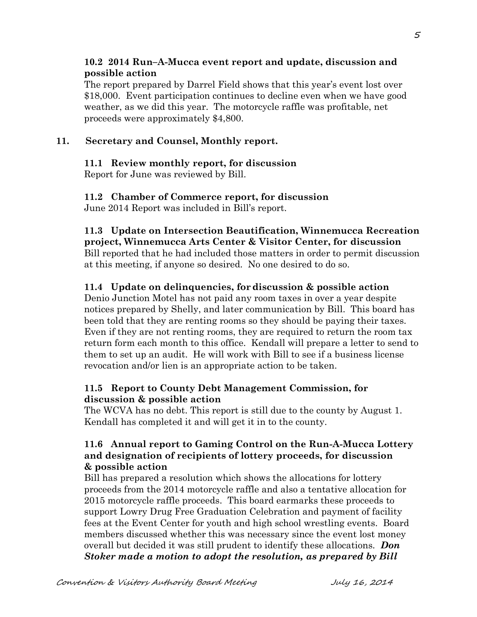## **10.2 2014 Run–A-Mucca event report and update, discussion and possible action**

The report prepared by Darrel Field shows that this year's event lost over \$18,000. Event participation continues to decline even when we have good weather, as we did this year. The motorcycle raffle was profitable, net proceeds were approximately \$4,800.

## **11. Secretary and Counsel, Monthly report.**

## **11.1 Review monthly report, for discussion**

Report for June was reviewed by Bill.

# **11.2 Chamber of Commerce report, for discussion**

June 2014 Report was included in Bill's report.

#### **11.3 Update on Intersection Beautification, Winnemucca Recreation project, Winnemucca Arts Center & Visitor Center, for discussion**

Bill reported that he had included those matters in order to permit discussion at this meeting, if anyone so desired. No one desired to do so.

# **11.4 Update on delinquencies, fordiscussion & possible action**

Denio Junction Motel has not paid any room taxes in over a year despite notices prepared by Shelly, and later communication by Bill. This board has been told that they are renting rooms so they should be paying their taxes. Even if they are not renting rooms, they are required to return the room tax return form each month to this office. Kendall will prepare a letter to send to them to set up an audit. He will work with Bill to see if a business license revocation and/or lien is an appropriate action to be taken.

## **11.5 Report to County Debt Management Commission, for discussion & possible action**

The WCVA has no debt. This report is still due to the county by August 1. Kendall has completed it and will get it in to the county.

## **11.6 Annual report to Gaming Control on the Run-A-Mucca Lottery and designation of recipients of lottery proceeds, for discussion & possible action**

Bill has prepared a resolution which shows the allocations for lottery proceeds from the 2014 motorcycle raffle and also a tentative allocation for 2015 motorcycle raffle proceeds. This board earmarks these proceeds to support Lowry Drug Free Graduation Celebration and payment of facility fees at the Event Center for youth and high school wrestling events. Board members discussed whether this was necessary since the event lost money overall but decided it was still prudent to identify these allocations. *Don Stoker made a motion to adopt the resolution, as prepared by Bill*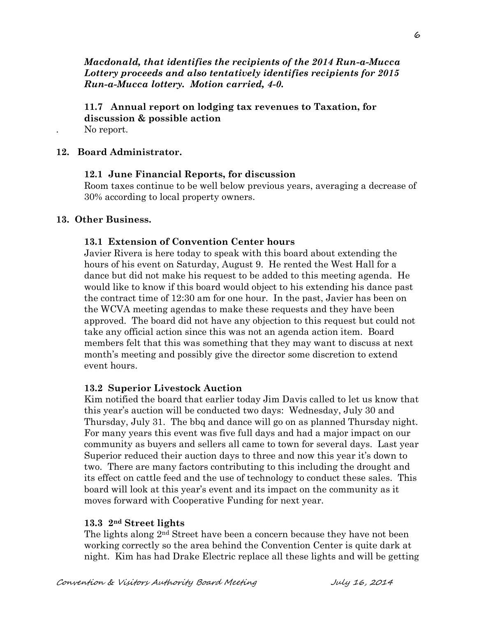*Macdonald, that identifies the recipients of the 2014 Run-a-Mucca Lottery proceeds and also tentatively identifies recipients for 2015 Run-a-Mucca lottery. Motion carried, 4-0.* 

**11.7 Annual report on lodging tax revenues to Taxation, for discussion & possible action** No report.

#### **12. Board Administrator.**

#### **12.1 June Financial Reports, for discussion**

Room taxes continue to be well below previous years, averaging a decrease of 30% according to local property owners.

#### **13. Other Business.**

#### **13.1 Extension of Convention Center hours**

Javier Rivera is here today to speak with this board about extending the hours of his event on Saturday, August 9. He rented the West Hall for a dance but did not make his request to be added to this meeting agenda. He would like to know if this board would object to his extending his dance past the contract time of 12:30 am for one hour. In the past, Javier has been on the WCVA meeting agendas to make these requests and they have been approved. The board did not have any objection to this request but could not take any official action since this was not an agenda action item. Board members felt that this was something that they may want to discuss at next month's meeting and possibly give the director some discretion to extend event hours.

#### **13.2 Superior Livestock Auction**

Kim notified the board that earlier today Jim Davis called to let us know that this year's auction will be conducted two days: Wednesday, July 30 and Thursday, July 31. The bbq and dance will go on as planned Thursday night. For many years this event was five full days and had a major impact on our community as buyers and sellers all came to town for several days. Last year Superior reduced their auction days to three and now this year it's down to two. There are many factors contributing to this including the drought and its effect on cattle feed and the use of technology to conduct these sales. This board will look at this year's event and its impact on the community as it moves forward with Cooperative Funding for next year.

#### **13.3 2nd Street lights**

The lights along  $2<sup>nd</sup>$  Street have been a concern because they have not been working correctly so the area behind the Convention Center is quite dark at night. Kim has had Drake Electric replace all these lights and will be getting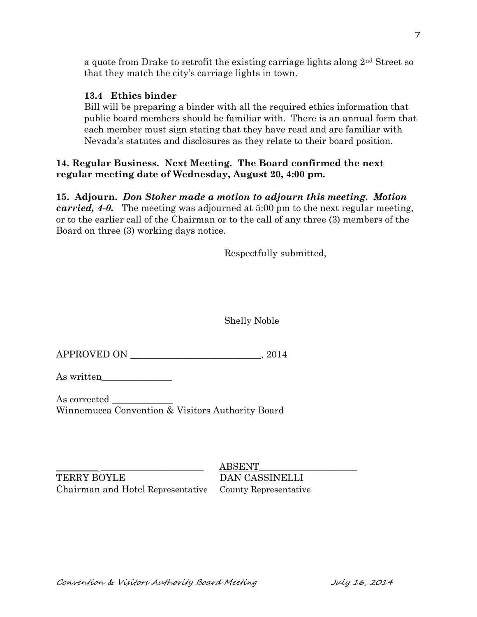a quote from Drake to retrofit the existing carriage lights along 2nd Street so that they match the city's carriage lights in town.

## **13.4 Ethics binder**

Bill will be preparing a binder with all the required ethics information that public board members should be familiar with. There is an annual form that each member must sign stating that they have read and are familiar with Nevada's statutes and disclosures as they relate to their board position.

## **14. Regular Business. Next Meeting. The Board confirmed the next regular meeting date of Wednesday, August 20, 4:00 pm.**

**15. Adjourn.** *Don Stoker made a motion to adjourn this meeting. Motion carried, 4-0.* The meeting was adjourned at 5:00 pm to the next regular meeting, or to the earlier call of the Chairman or to the call of any three (3) members of the Board on three (3) working days notice.

Respectfully submitted,

Shelly Noble

APPROVED ON \_\_\_\_\_\_\_\_\_\_\_\_\_\_\_\_\_\_\_\_\_\_\_\_\_\_\_\_, 2014

As written\_\_\_\_\_\_\_\_\_\_\_\_\_\_\_

As corrected Winnemucca Convention & Visitors Authority Board

TERRY BOYLE DAN CASSINELLI Chairman and Hotel Representative County Representative

 $ABSENT$